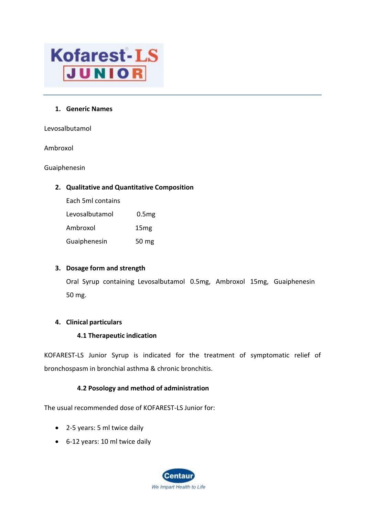

#### **1. Generic Names**

Levosalbutamol

Ambroxol

Guaiphenesin

## **2. Qualitative and Quantitative Composition**

Each 5ml contains

| Levosalbutamol | 0.5 <sub>mg</sub> |
|----------------|-------------------|
| Ambroxol       | 15 <sub>mg</sub>  |
| Guaiphenesin   | 50 mg             |

#### **3. Dosage form and strength**

Oral Syrup containing Levosalbutamol 0.5mg, Ambroxol 15mg, Guaiphenesin 50 mg.

# **4. Clinical particulars**

#### **4.1 Therapeutic indication**

KOFAREST-LS Junior Syrup is indicated for the treatment of symptomatic relief of bronchospasm in bronchial asthma & chronic bronchitis.

# **4.2 Posology and method of administration**

The usual recommended dose of KOFAREST-LS Junior for:

- 2-5 years: 5 ml twice daily
- 6-12 years: 10 ml twice daily

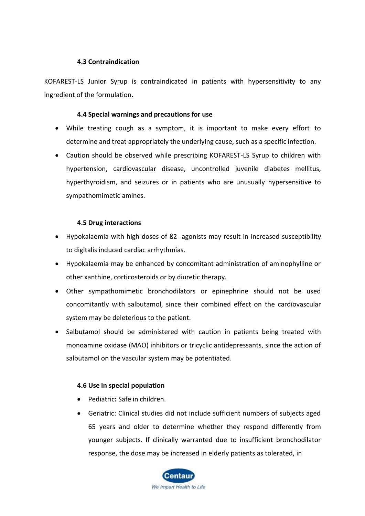## **4.3 Contraindication**

KOFAREST-LS Junior Syrup is contraindicated in patients with hypersensitivity to any ingredient of the formulation.

## **4.4 Special warnings and precautions for use**

- While treating cough as a symptom, it is important to make every effort to determine and treat appropriately the underlying cause, such as a specific infection.
- Caution should be observed while prescribing KOFAREST-LS Syrup to children with hypertension, cardiovascular disease, uncontrolled juvenile diabetes mellitus, hyperthyroidism, and seizures or in patients who are unusually hypersensitive to sympathomimetic amines.

# **4.5 Drug interactions**

- Hypokalaemia with high doses of ß2 -agonists may result in increased susceptibility to digitalis induced cardiac arrhythmias.
- Hypokalaemia may be enhanced by concomitant administration of aminophylline or other xanthine, corticosteroids or by diuretic therapy.
- Other sympathomimetic bronchodilators or epinephrine should not be used concomitantly with salbutamol, since their combined effect on the cardiovascular system may be deleterious to the patient.
- Salbutamol should be administered with caution in patients being treated with monoamine oxidase (MAO) inhibitors or tricyclic antidepressants, since the action of salbutamol on the vascular system may be potentiated.

# **4.6 Use in special population**

- Pediatric**:** Safe in children.
- Geriatric: Clinical studies did not include sufficient numbers of subjects aged 65 years and older to determine whether they respond differently from younger subjects. If clinically warranted due to insufficient bronchodilator response, the dose may be increased in elderly patients as tolerated, in

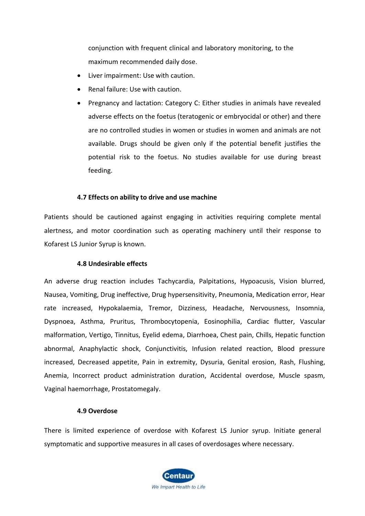conjunction with frequent clinical and laboratory monitoring, to the maximum recommended daily dose.

- Liver impairment: Use with caution.
- Renal failure: Use with caution.
- Pregnancy and lactation: Category C: Either studies in animals have revealed adverse effects on the foetus (teratogenic or embryocidal or other) and there are no controlled studies in women or studies in women and animals are not available. Drugs should be given only if the potential benefit justifies the potential risk to the foetus. No studies available for use during breast feeding.

## **4.7 Effects on ability to drive and use machine**

Patients should be cautioned against engaging in activities requiring complete mental alertness, and motor coordination such as operating machinery until their response to Kofarest LS Junior Syrup is known.

#### **4.8 Undesirable effects**

An adverse drug reaction includes Tachycardia, Palpitations, Hypoacusis, Vision blurred, Nausea, Vomiting, Drug ineffective, Drug hypersensitivity, Pneumonia, Medication error, Hear rate increased, Hypokalaemia, Tremor, Dizziness, Headache, Nervousness, Insomnia, Dyspnoea, Asthma, Pruritus, Thrombocytopenia, Eosinophilia, Cardiac flutter, Vascular malformation, Vertigo, Tinnitus, Eyelid edema, Diarrhoea, Chest pain, Chills, Hepatic function abnormal, Anaphylactic shock, Conjunctivitis, Infusion related reaction, Blood pressure increased, Decreased appetite, Pain in extremity, Dysuria, Genital erosion, Rash, Flushing, Anemia, Incorrect product administration duration, Accidental overdose, Muscle spasm, Vaginal haemorrhage, Prostatomegaly.

#### **4.9 Overdose**

There is limited experience of overdose with Kofarest LS Junior syrup. Initiate general symptomatic and supportive measures in all cases of overdosages where necessary.

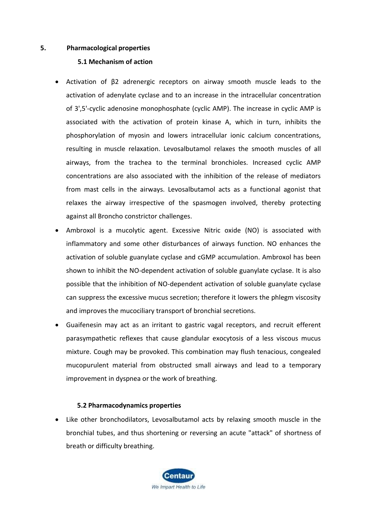#### **5. Pharmacological properties**

## **5.1 Mechanism of action**

- Activation of β2 adrenergic receptors on airway smooth muscle leads to the activation of adenylate cyclase and to an increase in the intracellular concentration of 3',5'-cyclic adenosine monophosphate (cyclic AMP). The increase in cyclic AMP is associated with the activation of protein kinase A, which in turn, inhibits the phosphorylation of myosin and lowers intracellular ionic calcium concentrations, resulting in muscle relaxation. Levosalbutamol relaxes the smooth muscles of all airways, from the trachea to the terminal bronchioles. Increased cyclic AMP concentrations are also associated with the inhibition of the release of mediators from mast cells in the airways. Levosalbutamol acts as a functional agonist that relaxes the airway irrespective of the spasmogen involved, thereby protecting against all Broncho constrictor challenges.
- Ambroxol is a mucolytic agent. Excessive Nitric oxide (NO) is associated with inflammatory and some other disturbances of airways function. NO enhances the activation of soluble guanylate cyclase and cGMP accumulation. Ambroxol has been shown to inhibit the NO-dependent activation of soluble guanylate cyclase. It is also possible that the inhibition of NO-dependent activation of soluble guanylate cyclase can suppress the excessive mucus secretion; therefore it lowers the phlegm viscosity and improves the mucociliary transport of bronchial secretions.
- Guaifenesin may act as an irritant to gastric vagal receptors, and recruit efferent parasympathetic reflexes that cause glandular exocytosis of a less viscous mucus mixture. Cough may be provoked. This combination may flush tenacious, congealed mucopurulent material from obstructed small airways and lead to a temporary improvement in dyspnea or the work of breathing.

#### **5.2 Pharmacodynamics properties**

• Like other bronchodilators, Levosalbutamol acts by relaxing smooth muscle in the bronchial tubes, and thus shortening or reversing an acute "attack" of shortness of breath or difficulty breathing.

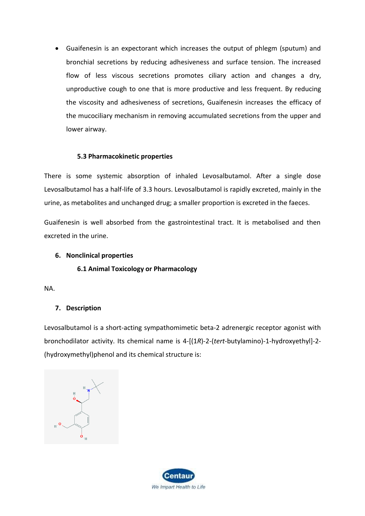• Guaifenesin is an expectorant which increases the output of phlegm (sputum) and bronchial secretions by reducing adhesiveness and surface tension. The increased flow of less viscous secretions promotes ciliary action and changes a dry, unproductive cough to one that is more productive and less frequent. By reducing the viscosity and adhesiveness of secretions, Guaifenesin increases the efficacy of the mucociliary mechanism in removing accumulated secretions from the upper and lower airway.

## **5.3 Pharmacokinetic properties**

There is some systemic absorption of inhaled Levosalbutamol. After a single dose Levosalbutamol has a half-life of 3.3 hours. Levosalbutamol is rapidly excreted, mainly in the urine, as metabolites and unchanged drug; a smaller proportion is excreted in the faeces.

Guaifenesin is well absorbed from the gastrointestinal tract. It is metabolised and then excreted in the urine.

#### **6. Nonclinical properties**

# **6.1 Animal Toxicology or Pharmacology**

NA.

# **7. Description**

Levosalbutamol is a short-acting sympathomimetic beta-2 adrenergic receptor agonist with bronchodilator activity. Its chemical name is 4-[(1*R*)-2-(*tert*-butylamino)-1-hydroxyethyl]-2- (hydroxymethyl)phenol and its chemical structure is:

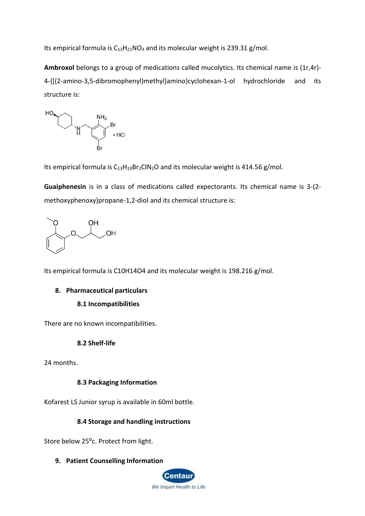Its empirical formula is  $C_{13}H_{21}NO_3$  $C_{13}H_{21}NO_3$  $C_{13}H_{21}NO_3$  and its molecular weight is 239.31 g/mol.

**Ambroxol** belongs to a group of medications called mucolytics. Its chemical name is (1r,4r)- 4-{[(2-amino-3,5-dibromophenyl)methyl]amino}cyclohexan-1-ol hydrochloride and its structure is:



Its empirical formula is  $C_{13}H_{19}Br_2CIN_2O$  and its molecular weight is 414.56 g/mol.

**Guaiphenesin** is in a class of medications called expectorants. Its chemical name is 3-(2 methoxyphenoxy)propane-1,2-diol and its chemical structure is:



Its empirical formula is C10H14O4 and its molecular weight is 198.216 g/mol.

#### **8. Pharmaceutical particulars**

#### **8.1 Incompatibilities**

There are no known incompatibilities.

# **8.2 Shelf-life**

24 months.

# **8.3 Packaging Information**

Kofarest LS Junior syrup is available in 60ml bottle.

# **8.4 Storage and handling instructions**

Store below 25<sup>o</sup>c. Protect from light.

**9. Patient Counselling Information**

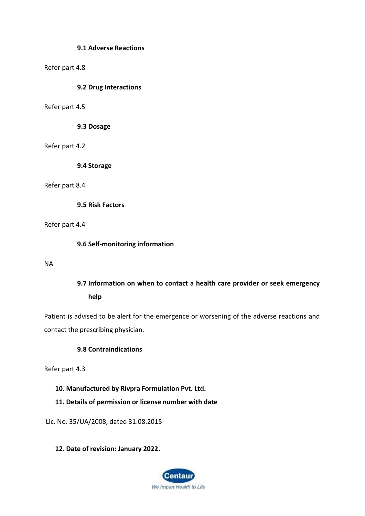#### **9.1 Adverse Reactions**

#### Refer part 4.8

#### **9.2 Drug Interactions**

#### Refer part 4.5

**9.3 Dosage**

#### Refer part 4.2

**9.4 Storage**

#### Refer part 8.4

**9.5 Risk Factors**

#### Refer part 4.4

**9.6 Self-monitoring information**

#### NA

# **9.7 Information on when to contact a health care provider or seek emergency help**

Patient is advised to be alert for the emergence or worsening of the adverse reactions and contact the prescribing physician.

#### **9.8 Contraindications**

Refer part 4.3

#### **10. Manufactured by Rivpra Formulation Pvt. Ltd.**

# **11. Details of permission or license number with date**

Lic. No. 35/UA/2008, dated 31.08.2015

#### **12. Date of revision: January 2022.**